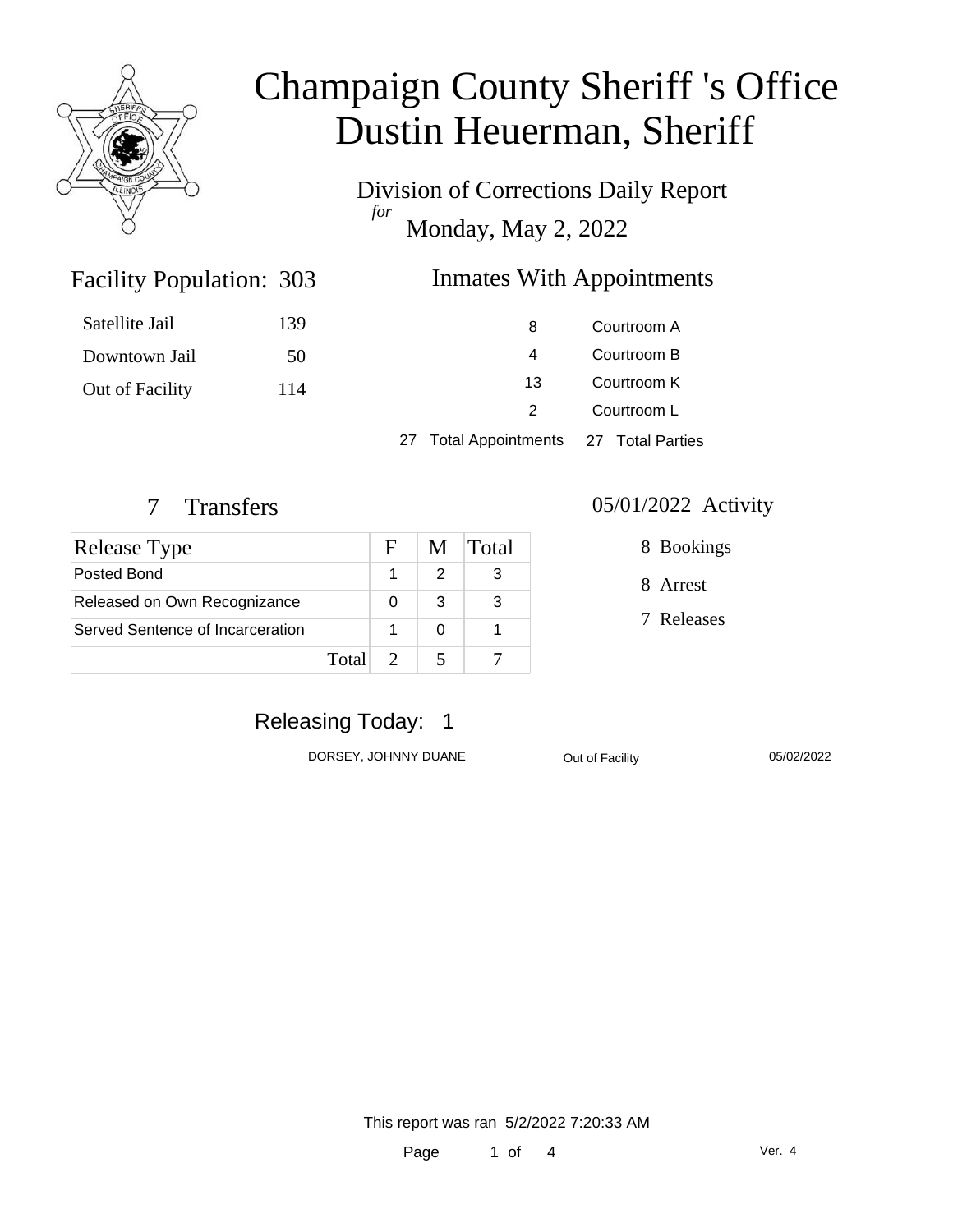

Division of Corrections Daily Report *for* Monday, May 2, 2022

### Inmates With Appointments

| Satellite Jail  | 139 | 8                                      | Courtroom A |
|-----------------|-----|----------------------------------------|-------------|
| Downtown Jail   | 50  | 4                                      | Courtroom B |
| Out of Facility | 114 | 13                                     | Courtroom K |
|                 |     | 2                                      | Courtroom L |
|                 |     | 27 Total Appointments 27 Total Parties |             |

Facility Population: 303

| Release Type                     |       | F. |   | M Total |
|----------------------------------|-------|----|---|---------|
| Posted Bond                      |       |    |   |         |
| Released on Own Recognizance     |       |    | 3 |         |
| Served Sentence of Incarceration |       |    |   |         |
|                                  | Total |    |   |         |

#### 7 Transfers 05/01/2022 Activity

8 Bookings

8 Arrest

7 Releases

## Releasing Today: 1

DORSEY, JOHNNY DUANE Out of Facility 05/02/2022

This report was ran 5/2/2022 7:20:33 AM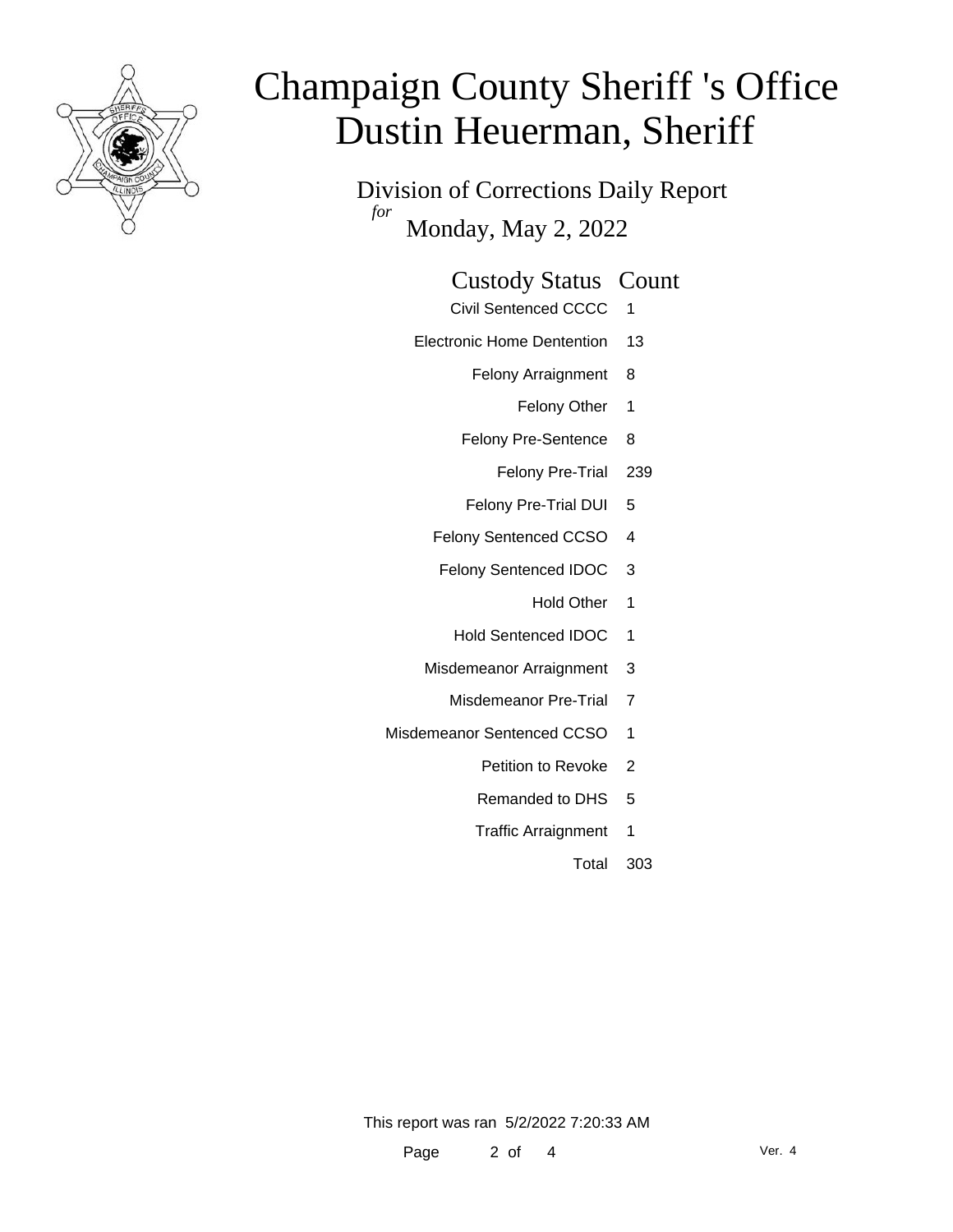

Division of Corrections Daily Report *for* Monday, May 2, 2022

### Custody Status Count

- Civil Sentenced CCCC 1
- Electronic Home Dentention 13
	- Felony Arraignment 8
		- Felony Other 1
	- Felony Pre-Sentence 8
		- Felony Pre-Trial 239
	- Felony Pre-Trial DUI 5
	- Felony Sentenced CCSO 4
	- Felony Sentenced IDOC 3
		- Hold Other 1
		- Hold Sentenced IDOC 1
	- Misdemeanor Arraignment 3
		- Misdemeanor Pre-Trial 7
- Misdemeanor Sentenced CCSO 1
	- Petition to Revoke 2
	- Remanded to DHS 5
	- Traffic Arraignment 1
		- Total 303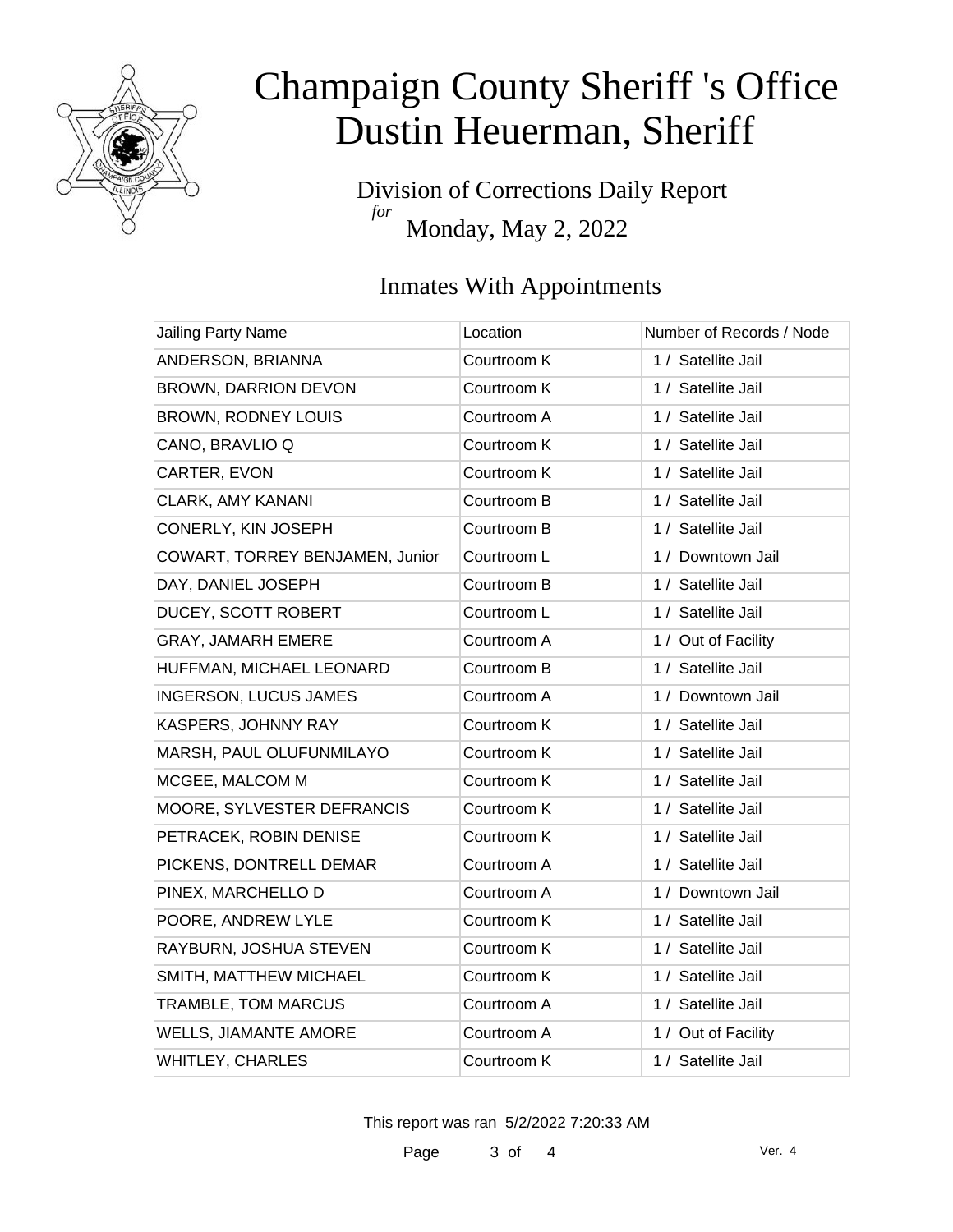

Division of Corrections Daily Report *for* Monday, May 2, 2022

### Inmates With Appointments

| Jailing Party Name              | Location    | Number of Records / Node |
|---------------------------------|-------------|--------------------------|
| ANDERSON, BRIANNA               | Courtroom K | 1 / Satellite Jail       |
| BROWN, DARRION DEVON            | Courtroom K | 1 / Satellite Jail       |
| <b>BROWN, RODNEY LOUIS</b>      | Courtroom A | 1 / Satellite Jail       |
| CANO, BRAVLIO Q                 | Courtroom K | 1 / Satellite Jail       |
| CARTER, EVON                    | Courtroom K | 1 / Satellite Jail       |
| <b>CLARK, AMY KANANI</b>        | Courtroom B | 1 / Satellite Jail       |
| CONERLY, KIN JOSEPH             | Courtroom B | 1 / Satellite Jail       |
| COWART, TORREY BENJAMEN, Junior | Courtroom L | 1 / Downtown Jail        |
| DAY, DANIEL JOSEPH              | Courtroom B | 1 / Satellite Jail       |
| DUCEY, SCOTT ROBERT             | Courtroom L | 1 / Satellite Jail       |
| <b>GRAY, JAMARH EMERE</b>       | Courtroom A | 1 / Out of Facility      |
| HUFFMAN, MICHAEL LEONARD        | Courtroom B | 1 / Satellite Jail       |
| <b>INGERSON, LUCUS JAMES</b>    | Courtroom A | 1 / Downtown Jail        |
| KASPERS, JOHNNY RAY             | Courtroom K | 1 / Satellite Jail       |
| MARSH, PAUL OLUFUNMILAYO        | Courtroom K | 1 / Satellite Jail       |
| MCGEE, MALCOM M                 | Courtroom K | 1 / Satellite Jail       |
| MOORE, SYLVESTER DEFRANCIS      | Courtroom K | 1 / Satellite Jail       |
| PETRACEK, ROBIN DENISE          | Courtroom K | 1 / Satellite Jail       |
| PICKENS, DONTRELL DEMAR         | Courtroom A | 1 / Satellite Jail       |
| PINEX, MARCHELLO D              | Courtroom A | 1 / Downtown Jail        |
| POORE, ANDREW LYLE              | Courtroom K | 1 / Satellite Jail       |
| RAYBURN, JOSHUA STEVEN          | Courtroom K | 1 / Satellite Jail       |
| SMITH, MATTHEW MICHAEL          | Courtroom K | 1 / Satellite Jail       |
| TRAMBLE, TOM MARCUS             | Courtroom A | 1 / Satellite Jail       |
| <b>WELLS, JIAMANTE AMORE</b>    | Courtroom A | 1 / Out of Facility      |
| <b>WHITLEY, CHARLES</b>         | Courtroom K | 1 / Satellite Jail       |

This report was ran 5/2/2022 7:20:33 AM